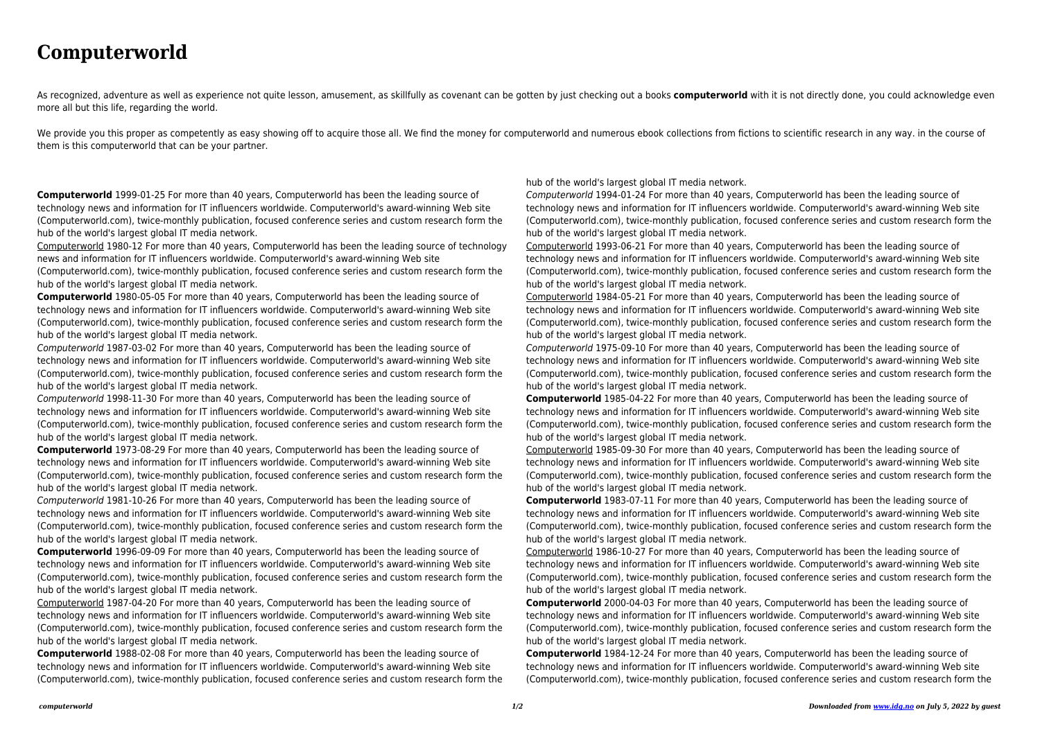## **Computerworld**

As recognized, adventure as well as experience not quite lesson, amusement, as skillfully as covenant can be gotten by just checking out a books **computerworld** with it is not directly done, you could acknowledge even more all but this life, regarding the world.

We provide you this proper as competently as easy showing off to acquire those all. We find the money for computerworld and numerous ebook collections from fictions to scientific research in any way. in the course of them is this computerworld that can be your partner.

**Computerworld** 1999-01-25 For more than 40 years, Computerworld has been the leading source of technology news and information for IT influencers worldwide. Computerworld's award-winning Web site (Computerworld.com), twice-monthly publication, focused conference series and custom research form the hub of the world's largest global IT media network.

Computerworld 1980-12 For more than 40 years, Computerworld has been the leading source of technology news and information for IT influencers worldwide. Computerworld's award-winning Web site (Computerworld.com), twice-monthly publication, focused conference series and custom research form the

hub of the world's largest global IT media network.

**Computerworld** 1980-05-05 For more than 40 years, Computerworld has been the leading source of technology news and information for IT influencers worldwide. Computerworld's award-winning Web site (Computerworld.com), twice-monthly publication, focused conference series and custom research form the hub of the world's largest global IT media network.

Computerworld 1987-03-02 For more than 40 years, Computerworld has been the leading source of technology news and information for IT influencers worldwide. Computerworld's award-winning Web site (Computerworld.com), twice-monthly publication, focused conference series and custom research form the hub of the world's largest global IT media network.

Computerworld 1998-11-30 For more than 40 years, Computerworld has been the leading source of technology news and information for IT influencers worldwide. Computerworld's award-winning Web site (Computerworld.com), twice-monthly publication, focused conference series and custom research form the hub of the world's largest global IT media network.

**Computerworld** 1973-08-29 For more than 40 years, Computerworld has been the leading source of technology news and information for IT influencers worldwide. Computerworld's award-winning Web site (Computerworld.com), twice-monthly publication, focused conference series and custom research form the hub of the world's largest global IT media network.

Computerworld 1981-10-26 For more than 40 years, Computerworld has been the leading source of technology news and information for IT influencers worldwide. Computerworld's award-winning Web site (Computerworld.com), twice-monthly publication, focused conference series and custom research form the hub of the world's largest global IT media network.

**Computerworld** 1996-09-09 For more than 40 years, Computerworld has been the leading source of technology news and information for IT influencers worldwide. Computerworld's award-winning Web site (Computerworld.com), twice-monthly publication, focused conference series and custom research form the hub of the world's largest global IT media network.

Computerworld 1987-04-20 For more than 40 years, Computerworld has been the leading source of technology news and information for IT influencers worldwide. Computerworld's award-winning Web site (Computerworld.com), twice-monthly publication, focused conference series and custom research form the hub of the world's largest global IT media network.

**Computerworld** 1988-02-08 For more than 40 years, Computerworld has been the leading source of technology news and information for IT influencers worldwide. Computerworld's award-winning Web site (Computerworld.com), twice-monthly publication, focused conference series and custom research form the hub of the world's largest global IT media network. Computerworld 1994-01-24 For more than 40 years, Computerworld has been the leading source of technology news and information for IT influencers worldwide. Computerworld's award-winning Web site (Computerworld.com), twice-monthly publication, focused conference series and custom research form the hub of the world's largest global IT media network.

Computerworld 1993-06-21 For more than 40 years, Computerworld has been the leading source of technology news and information for IT influencers worldwide. Computerworld's award-winning Web site (Computerworld.com), twice-monthly publication, focused conference series and custom research form the hub of the world's largest global IT media network.

Computerworld 1984-05-21 For more than 40 years, Computerworld has been the leading source of technology news and information for IT influencers worldwide. Computerworld's award-winning Web site (Computerworld.com), twice-monthly publication, focused conference series and custom research form the hub of the world's largest global IT media network.

Computerworld 1975-09-10 For more than 40 years, Computerworld has been the leading source of technology news and information for IT influencers worldwide. Computerworld's award-winning Web site (Computerworld.com), twice-monthly publication, focused conference series and custom research form the hub of the world's largest global IT media network.

**Computerworld** 1985-04-22 For more than 40 years, Computerworld has been the leading source of technology news and information for IT influencers worldwide. Computerworld's award-winning Web site (Computerworld.com), twice-monthly publication, focused conference series and custom research form the hub of the world's largest global IT media network.

Computerworld 1985-09-30 For more than 40 years, Computerworld has been the leading source of technology news and information for IT influencers worldwide. Computerworld's award-winning Web site (Computerworld.com), twice-monthly publication, focused conference series and custom research form the hub of the world's largest global IT media network.

**Computerworld** 1983-07-11 For more than 40 years, Computerworld has been the leading source of technology news and information for IT influencers worldwide. Computerworld's award-winning Web site (Computerworld.com), twice-monthly publication, focused conference series and custom research form the hub of the world's largest global IT media network.

Computerworld 1986-10-27 For more than 40 years, Computerworld has been the leading source of technology news and information for IT influencers worldwide. Computerworld's award-winning Web site (Computerworld.com), twice-monthly publication, focused conference series and custom research form the hub of the world's largest global IT media network.

**Computerworld** 2000-04-03 For more than 40 years, Computerworld has been the leading source of technology news and information for IT influencers worldwide. Computerworld's award-winning Web site (Computerworld.com), twice-monthly publication, focused conference series and custom research form the hub of the world's largest global IT media network.

**Computerworld** 1984-12-24 For more than 40 years, Computerworld has been the leading source of technology news and information for IT influencers worldwide. Computerworld's award-winning Web site (Computerworld.com), twice-monthly publication, focused conference series and custom research form the